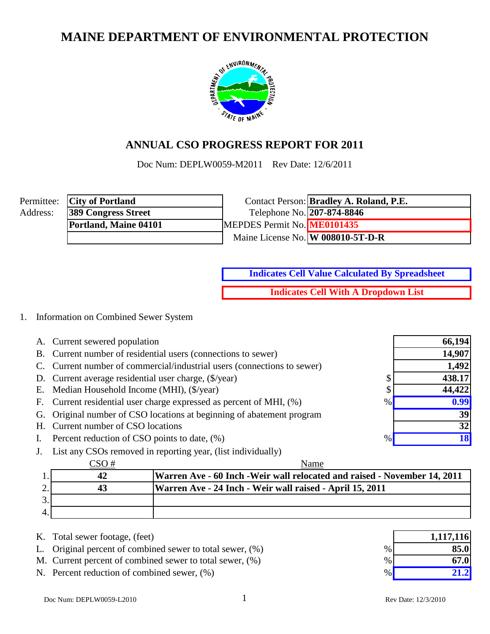# **MAINE DEPARTMENT OF ENVIRONMENTAL PROTECTION**



### **ANNUAL CSO PROGRESS REPORT FOR 2011**

Doc Num: DEPLW0059-M2011 Rev Date: 12/6/2011

|          | Permittee: <b>City of Portland</b> |                             | Contact Person: <b>Bradley A. Roland, P.E.</b> |
|----------|------------------------------------|-----------------------------|------------------------------------------------|
| Address: | <b>389 Congress Street</b>         | Telephone No. 207-874-8846  |                                                |
|          | Portland, Maine 04101              | MEPDES Permit No. ME0101435 |                                                |
|          |                                    |                             | Maine License No. W 008010-5T-D-R              |

**Indicates Cell Value Calculated By Spreadsheet**

**Indicates Cell With A Dropdown List**

### 1. Information on Combined Sewer System

|    | A. Current sewered population                                           |      | 66,194    |
|----|-------------------------------------------------------------------------|------|-----------|
|    | B. Current number of residential users (connections to sewer)           |      | 14,907    |
|    | C. Current number of commercial/industrial users (connections to sewer) |      | 1,492     |
|    | D. Current average residential user charge, (\$/year)                   | ◡    | 438.17    |
|    | E. Median Household Income (MHI), (\$/year)                             |      | 44,422    |
|    | F. Current residential user charge expressed as percent of MHI, $(\%)$  | $\%$ | 0.99      |
|    | G. Original number of CSO locations at beginning of abatement program   |      | 39        |
|    | H. Current number of CSO locations                                      |      | 32        |
| I. | Percent reduction of CSO points to date, (%)                            | %    | <b>18</b> |
|    | J. List any CSOs removed in reporting year, (list individually)         |      |           |

|    | Name                                                                      |
|----|---------------------------------------------------------------------------|
| 42 | Warren Ave - 60 Inch - Weir wall relocated and raised - November 14, 2011 |
|    | Warren Ave - 24 Inch - Weir wall raised - April 15, 2011                  |
|    |                                                                           |
|    |                                                                           |

| K. Total sewer footage, (feet) |  |  |  |  |
|--------------------------------|--|--|--|--|
|--------------------------------|--|--|--|--|

L. Original percent of combined sewer to total sewer,  $(\%)$  %

- M. Current percent of combined sewer to total sewer,  $(\%)$  %
- N. Percent reduction of combined sewer,  $(\%)$  %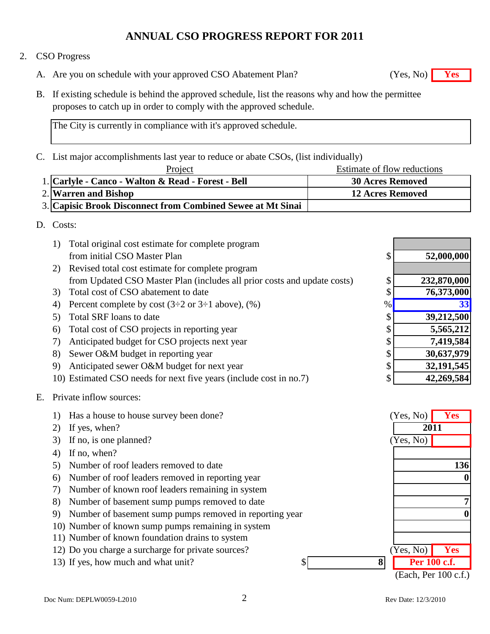### 2. CSO Progress

- A. Are you on schedule with your approved CSO Abatement Plan? **Yes** (Yes, No) **Yes**
- B. If existing schedule is behind the approved schedule, list the reasons why and how the permittee proposes to catch up in order to comply with the approved schedule.

The City is currently in compliance with it's approved schedule.

C. List major accomplishments last year to reduce or abate CSOs, (list individually)

Estimate of flow reductions Project

| 1. Carlyle - Canco - Walton & Read - Forest - Bell          | <b>30 Acres Removed</b> |
|-------------------------------------------------------------|-------------------------|
| 2. Warren and Bishop                                        | <b>12 Acres Removed</b> |
| 3. Capisic Brook Disconnect from Combined Sewee at Mt Sinai |                         |

D. Costs:

| Total original cost estimate for complete program                        |      |             |
|--------------------------------------------------------------------------|------|-------------|
| from initial CSO Master Plan                                             | \$   | 52,000,000  |
| Revised total cost estimate for complete program<br>2)                   |      |             |
| from Updated CSO Master Plan (includes all prior costs and update costs) | \$   | 232,870,000 |
| Total cost of CSO abatement to date<br>3)                                | \$   | 76,373,000  |
| Percent complete by cost $(3\div 2$ or $3\div 1$ above), $(\%)$<br>4)    | $\%$ | 33          |
| Total SRF loans to date                                                  | \$   | 39,212,500  |
| Total cost of CSO projects in reporting year<br>6)                       | \$   | 5,565,212   |
| Anticipated budget for CSO projects next year<br>7)                      | \$   | 7,419,584   |
| Sewer O&M budget in reporting year<br>8)                                 | \$   | 30,637,979  |
| Anticipated sewer O&M budget for next year<br>9)                         | \$   | 32,191,545  |
| 10) Estimated CSO needs for next five years (include cost in no.7)       | \$   | 42,269,584  |

### E. Private inflow sources:

|    | Has a house to house survey been done?                  | (Yes, No)            | <b>Yes</b> |
|----|---------------------------------------------------------|----------------------|------------|
| 2) | If yes, when?                                           | 2011                 |            |
| 3) | If no, is one planned?                                  | (Yes, No)            |            |
| 4) | If no, when?                                            |                      |            |
| 5) | Number of roof leaders removed to date                  |                      | 136        |
| 6) | Number of roof leaders removed in reporting year        |                      |            |
|    | Number of known roof leaders remaining in system        |                      |            |
| 8) | Number of basement sump pumps removed to date           |                      |            |
| 9) | Number of basement sump pumps removed in reporting year |                      |            |
|    | 10) Number of known sump pumps remaining in system      |                      |            |
|    | 11) Number of known foundation drains to system         |                      |            |
|    | 12) Do you charge a surcharge for private sources?      | Yes, No)             | <b>Yes</b> |
|    | 8<br>13) If yes, how much and what unit?<br>\$          | Per 100 c.f.         |            |
|    |                                                         | (Each, Per 100 c.f.) |            |

Doc Num: DEPLW0059-L2010 2 Rev Date: 12/3/2010

 $(Yes, No)$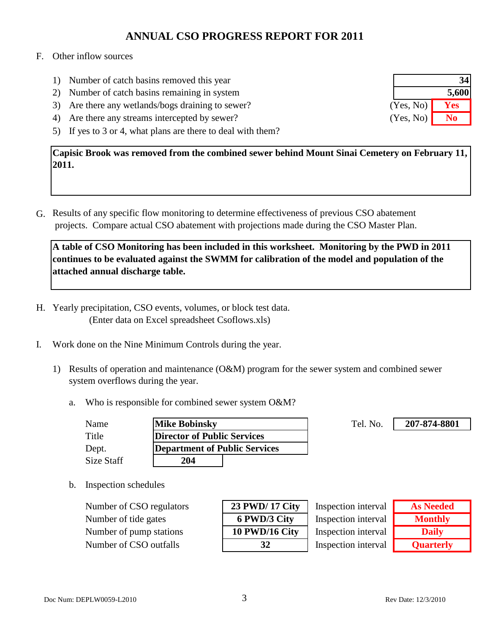#### F. Other inflow sources

- 1) Number of catch basins removed this year
- 2) Number of catch basins remaining in system
- 3) Are there any wetlands/bogs draining to sewer?
- 4) Are there any streams intercepted by sewer?
- 5) If yes to 3 or 4, what plans are there to deal with them?

**Capisic Brook was removed from the combined sewer behind Mount Sinai Cemetery on February 11, 2011.**

G. Results of any specific flow monitoring to determine effectiveness of previous CSO abatement projects. Compare actual CSO abatement with projections made during the CSO Master Plan.

**A table of CSO Monitoring has been included in this worksheet. Monitoring by the PWD in 2011 continues to be evaluated against the SWMM for calibration of the model and population of the attached annual discharge table.**

- H. Yearly precipitation, CSO events, volumes, or block test data. (Enter data on Excel spreadsheet Csoflows.xls)
- I. Work done on the Nine Minimum Controls during the year.
	- 1) Results of operation and maintenance (O&M) program for the sewer system and combined sewer system overflows during the year.
		- a. Who is responsible for combined sewer system O&M?

| Name       | <b>Mike Bobinsky</b>          | Tel. No. |
|------------|-------------------------------|----------|
| Title      | Director of Public Services   |          |
| Dept.      | Department of Public Services |          |
| Size Staff | 204                           |          |

**207-874-8801**

b. Inspection schedules

**Number of CSO regulators Number of tide gates Number of pump stations** Number of CSO outfalls **32**

| 23 PWD/ 17 City |
|-----------------|
| 6 PWD/3 City    |
| 10 PWD/16 City  |
| 32              |

Inspection interval Inspection interval Inspection interval Inspection interval

| <b>As Needed</b> |
|------------------|
| <b>Monthly</b>   |
| <b>Daily</b>     |
| <b>Quarterly</b> |

|           | 34    |
|-----------|-------|
|           | 5,600 |
| (Yes, No) | Yes   |
| (Yes, No) | No    |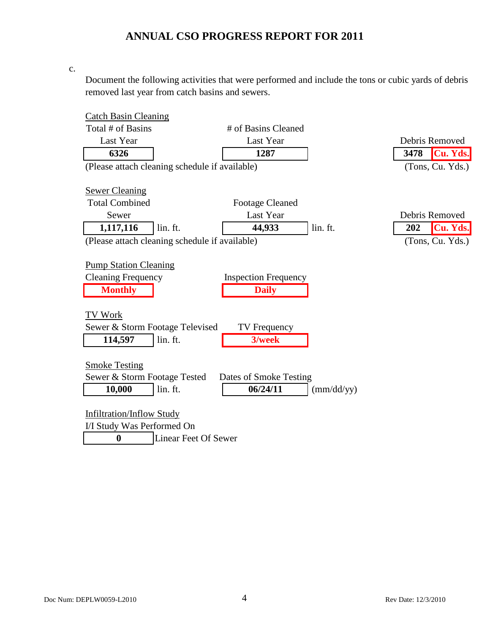c.

Document the following activities that were performed and include the tons or cubic yards of debris removed last year from catch basins and sewers.

| <b>Catch Basin Cleaning</b>      |                                                |                             |            |                  |
|----------------------------------|------------------------------------------------|-----------------------------|------------|------------------|
| Total # of Basins                |                                                | # of Basins Cleaned         |            |                  |
| Last Year                        |                                                | Last Year                   |            | Debris Removed   |
| 6326                             |                                                | 1287                        |            | Cu. Yds.<br>3478 |
|                                  | (Please attach cleaning schedule if available) |                             |            | (Tons, Cu. Yds.) |
|                                  |                                                |                             |            |                  |
| <b>Sewer Cleaning</b>            |                                                |                             |            |                  |
| <b>Total Combined</b>            |                                                | <b>Footage Cleaned</b>      |            |                  |
| Sewer                            |                                                | Last Year                   |            | Debris Removed   |
| 1,117,116                        | lin. ft.                                       | 44,933                      | lin. ft.   | Cu. Yds.<br>202  |
|                                  | (Please attach cleaning schedule if available) |                             |            | (Tons, Cu. Yds.) |
|                                  |                                                |                             |            |                  |
| <b>Pump Station Cleaning</b>     |                                                |                             |            |                  |
| <b>Cleaning Frequency</b>        |                                                | <b>Inspection Frequency</b> |            |                  |
| <b>Monthly</b>                   |                                                | <b>Daily</b>                |            |                  |
|                                  |                                                |                             |            |                  |
| TV Work                          |                                                |                             |            |                  |
|                                  | Sewer & Storm Footage Televised                | <b>TV</b> Frequency         |            |                  |
| 114,597                          | lin. ft.                                       | 3/week                      |            |                  |
|                                  |                                                |                             |            |                  |
| <b>Smoke Testing</b>             |                                                |                             |            |                  |
| Sewer & Storm Footage Tested     |                                                | Dates of Smoke Testing      |            |                  |
| 10,000                           | lin. ft.                                       | 06/24/11                    | (mm/dd/yy) |                  |
|                                  |                                                |                             |            |                  |
| <b>Infiltration/Inflow Study</b> |                                                |                             |            |                  |
| I/I Study Was Performed On       |                                                |                             |            |                  |
| $\boldsymbol{0}$                 | <b>Linear Feet Of Sewer</b>                    |                             |            |                  |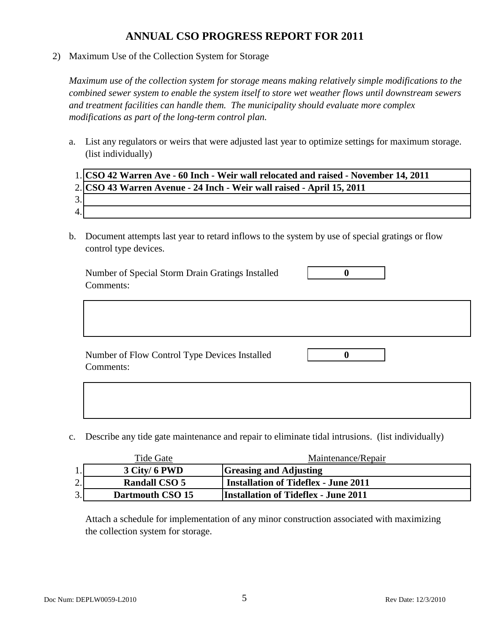2) Maximum Use of the Collection System for Storage

*Maximum use of the collection system for storage means making relatively simple modifications to the combined sewer system to enable the system itself to store wet weather flows until downstream sewers and treatment facilities can handle them. The municipality should evaluate more complex modifications as part of the long-term control plan.*

a. List any regulators or weirs that were adjusted last year to optimize settings for maximum storage. (list individually)

|     | 1. CSO 42 Warren Ave - 60 Inch - Weir wall relocated and raised - November 14, 2011 |
|-----|-------------------------------------------------------------------------------------|
|     | 2. CSO 43 Warren Avenue - 24 Inch - Weir wall raised - April 15, 2011               |
| 3.1 |                                                                                     |
| 4.1 |                                                                                     |

b. Document attempts last year to retard inflows to the system by use of special gratings or flow control type devices.

Number of Special Storm Drain Gratings Installed **0** Comments:

Number of Flow Control Type Devices Installed **0** Comments:

c. Describe any tide gate maintenance and repair to eliminate tidal intrusions. (list individually)

|    | Tide Gate            | Maintenance/Repair                          |
|----|----------------------|---------------------------------------------|
| 1. | 3 City/ 6 PWD        | <b>Greasing and Adjusting</b>               |
| 2. | <b>Randall CSO 5</b> | <b>Installation of Tideflex - June 2011</b> |
| 3. | Dartmouth CSO 15     | <b>Installation of Tideflex - June 2011</b> |

Attach a schedule for implementation of any minor construction associated with maximizing the collection system for storage.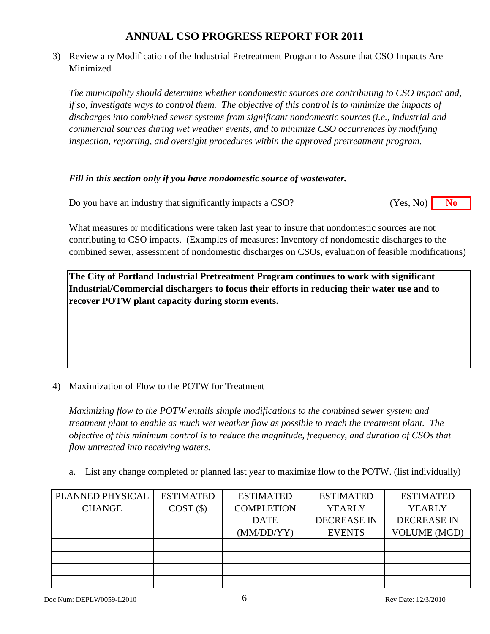3) Review any Modification of the Industrial Pretreatment Program to Assure that CSO Impacts Are Minimized

*The municipality should determine whether nondomestic sources are contributing to CSO impact and, if so, investigate ways to control them. The objective of this control is to minimize the impacts of discharges into combined sewer systems from significant nondomestic sources (i.e., industrial and commercial sources during wet weather events, and to minimize CSO occurrences by modifying inspection, reporting, and oversight procedures within the approved pretreatment program.*

### *Fill in this section only if you have nondomestic source of wastewater.*

Do you have an industry that significantly impacts a CSO? **No** (Yes, No) **No** (Yes, No)

What measures or modifications were taken last year to insure that nondomestic sources are not contributing to CSO impacts. (Examples of measures: Inventory of nondomestic discharges to the combined sewer, assessment of nondomestic discharges on CSOs, evaluation of feasible modifications)

**The City of Portland Industrial Pretreatment Program continues to work with significant Industrial/Commercial dischargers to focus their efforts in reducing their water use and to recover POTW plant capacity during storm events.**

### 4) Maximization of Flow to the POTW for Treatment

*Maximizing flow to the POTW entails simple modifications to the combined sewer system and treatment plant to enable as much wet weather flow as possible to reach the treatment plant. The objective of this minimum control is to reduce the magnitude, frequency, and duration of CSOs that flow untreated into receiving waters.*

a. List any change completed or planned last year to maximize flow to the POTW. (list individually)

| PLANNED PHYSICAL | <b>ESTIMATED</b> | <b>ESTIMATED</b>  | <b>ESTIMATED</b>   | <b>ESTIMATED</b>    |
|------------------|------------------|-------------------|--------------------|---------------------|
| <b>CHANGE</b>    | COST(S)          | <b>COMPLETION</b> | <b>YEARLY</b>      | <b>YEARLY</b>       |
|                  |                  | <b>DATE</b>       | <b>DECREASE IN</b> | <b>DECREASE IN</b>  |
|                  |                  | (MM/DD/YY)        | <b>EVENTS</b>      | <b>VOLUME (MGD)</b> |
|                  |                  |                   |                    |                     |
|                  |                  |                   |                    |                     |
|                  |                  |                   |                    |                     |
|                  |                  |                   |                    |                     |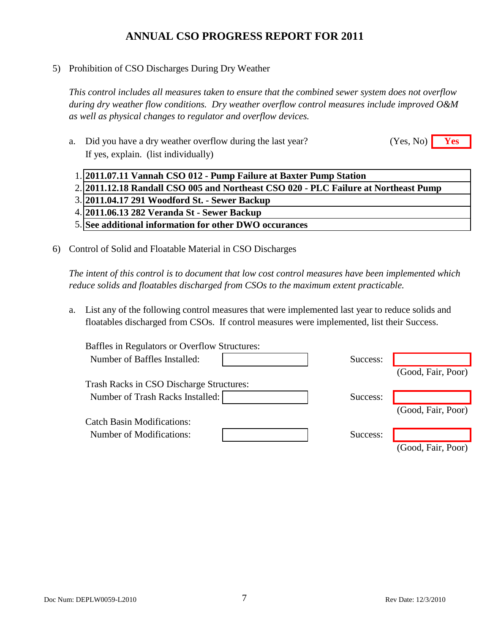5) Prohibition of CSO Discharges During Dry Weather

*This control includes all measures taken to ensure that the combined sewer system does not overflow during dry weather flow conditions. Dry weather overflow control measures include improved O&M as well as physical changes to regulator and overflow devices.*

- a. Did you have a dry weather overflow during the last year? **Yes** (Yes, No) **Yes** If yes, explain. (list individually) (Yes, No)
	- 1. **2011.07.11 Vannah CSO 012 Pump Failure at Baxter Pump Station**

2. **2011.12.18 Randall CSO 005 and Northeast CSO 020 - PLC Failure at Northeast Pump** 

3. **2011.04.17 291 Woodford St. - Sewer Backup**

- 4. **2011.06.13 282 Veranda St Sewer Backup**
- 5. **See additional information for other DWO occurances**
- 6) Control of Solid and Floatable Material in CSO Discharges

*The intent of this control is to document that low cost control measures have been implemented which reduce solids and floatables discharged from CSOs to the maximum extent practicable.*

a. List any of the following control measures that were implemented last year to reduce solids and floatables discharged from CSOs. If control measures were implemented, list their Success.

| <b>Baffles in Regulators or Overflow Structures:</b> |          |                    |
|------------------------------------------------------|----------|--------------------|
| Number of Baffles Installed:                         | Success: |                    |
|                                                      |          | (Good, Fair, Poor) |
| <b>Trash Racks in CSO Discharge Structures:</b>      |          |                    |
| Number of Trash Racks Installed:                     | Success: |                    |
|                                                      |          | (Good, Fair, Poor) |
| <b>Catch Basin Modifications:</b>                    |          |                    |
| Number of Modifications:                             | Success: |                    |
|                                                      |          | (Good, Fair, Poor) |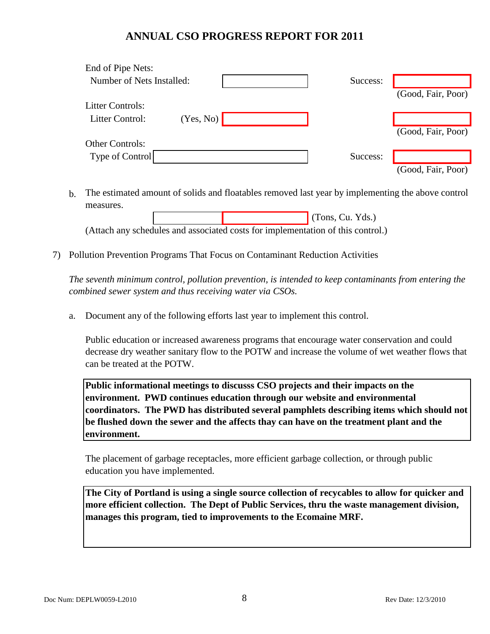| End of Pipe Nets:         |           |          |                    |
|---------------------------|-----------|----------|--------------------|
| Number of Nets Installed: |           | Success: |                    |
|                           |           |          | (Good, Fair, Poor) |
| <b>Litter Controls:</b>   |           |          |                    |
| Litter Control:           | (Yes, No) |          |                    |
|                           |           |          | (Good, Fair, Poor) |
| <b>Other Controls:</b>    |           |          |                    |
| Type of Control           |           | Success: |                    |
|                           |           |          | (Good, Fair, Poor) |

b. The estimated amount of solids and floatables removed last year by implementing the above control measures.

 (Tons, Cu. Yds.) (Attach any schedules and associated costs for implementation of this control.)

7) Pollution Prevention Programs That Focus on Contaminant Reduction Activities

*The seventh minimum control, pollution prevention, is intended to keep contaminants from entering the combined sewer system and thus receiving water via CSOs.*

a. Document any of the following efforts last year to implement this control.

Public education or increased awareness programs that encourage water conservation and could decrease dry weather sanitary flow to the POTW and increase the volume of wet weather flows that can be treated at the POTW.

**Public informational meetings to discusss CSO projects and their impacts on the environment. PWD continues education through our website and environmental coordinators. The PWD has distributed several pamphlets describing items which should not be flushed down the sewer and the affects thay can have on the treatment plant and the environment.**

The placement of garbage receptacles, more efficient garbage collection, or through public education you have implemented.

**The City of Portland is using a single source collection of recycables to allow for quicker and more efficient collection. The Dept of Public Services, thru the waste management division, manages this program, tied to improvements to the Ecomaine MRF.**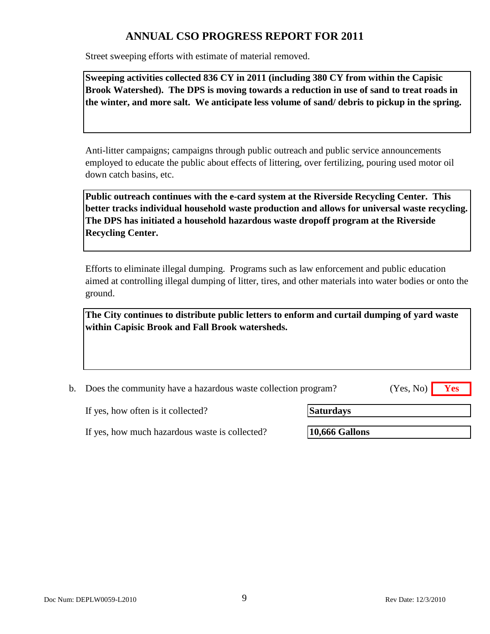Street sweeping efforts with estimate of material removed.

**Sweeping activities collected 836 CY in 2011 (including 380 CY from within the Capisic Brook Watershed). The DPS is moving towards a reduction in use of sand to treat roads in the winter, and more salt. We anticipate less volume of sand/ debris to pickup in the spring.**

Anti-litter campaigns; campaigns through public outreach and public service announcements employed to educate the public about effects of littering, over fertilizing, pouring used motor oil down catch basins, etc.

**Public outreach continues with the e-card system at the Riverside Recycling Center. This better tracks individual household waste production and allows for universal waste recycling. The DPS has initiated a household hazardous waste dropoff program at the Riverside Recycling Center.**

Efforts to eliminate illegal dumping. Programs such as law enforcement and public education aimed at controlling illegal dumping of litter, tires, and other materials into water bodies or onto the ground.

**The City continues to distribute public letters to enform and curtail dumping of yard waste within Capisic Brook and Fall Brook watersheds.**

b. Does the community have a hazardous waste collection program? **Yes** (Yes, No)

If yes, how often is it collected?

**Saturdays**

If yes, how much hazardous waste is collected?

**10,666 Gallons**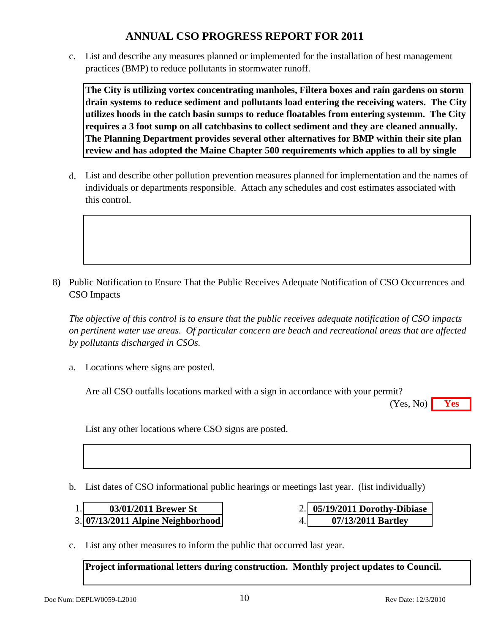c. List and describe any measures planned or implemented for the installation of best management practices (BMP) to reduce pollutants in stormwater runoff.

**The City is utilizing vortex concentrating manholes, Filtera boxes and rain gardens on storm drain systems to reduce sediment and pollutants load entering the receiving waters. The City utilizes hoods in the catch basin sumps to reduce floatables from entering systemm. The City requires a 3 foot sump on all catchbasins to collect sediment and they are cleaned annually. The Planning Department provides several other alternatives for BMP within their site plan review and has adopted the Maine Chapter 500 requirements which applies to all by single** 

d. List and describe other pollution prevention measures planned for implementation and the names of individuals or departments responsible. Attach any schedules and cost estimates associated with this control.

8) Public Notification to Ensure That the Public Receives Adequate Notification of CSO Occurrences and CSO Impacts

*The objective of this control is to ensure that the public receives adequate notification of CSO impacts on pertinent water use areas. Of particular concern are beach and recreational areas that are affected by pollutants discharged in CSOs.*

a. Locations where signs are posted.

Are all CSO outfalls locations marked with a sign in accordance with your permit?

**Yes** (Yes, No)

List any other locations where CSO signs are posted.

b. List dates of CSO informational public hearings or meetings last year. (list individually)

| 03/01/2011 Brewer St                |  |
|-------------------------------------|--|
| $3. 07/13/2011$ Alpine Neighborhood |  |

- **05/19/2011 Dorothy-Dibiase 07/13/2011 Bartley**
- c. List any other measures to inform the public that occurred last year.

**Project informational letters during construction. Monthly project updates to Council.**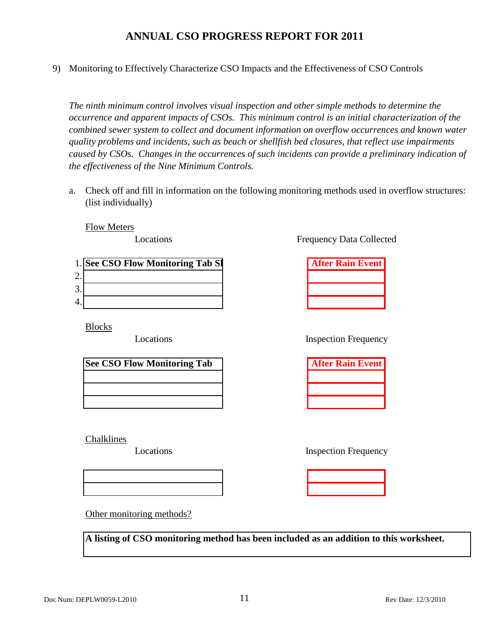9) Monitoring to Effectively Characterize CSO Impacts and the Effectiveness of CSO Controls

*The ninth minimum control involves visual inspection and other simple methods to determine the occurrence and apparent impacts of CSOs. This minimum control is an initial characterization of the combined sewer system to collect and document information on overflow occurrences and known water quality problems and incidents, such as beach or shellfish bed closures, that reflect use impairments caused by CSOs. Changes in the occurrences of such incidents can provide a preliminary indication of the effectiveness of the Nine Minimum Controls.*

a. Check off and fill in information on the following monitoring methods used in overflow structures: (list individually)

Flow Meters

Locations

|                 | 1. See CSO Flow Monitoring Tab SI | <b>After Rain Event</b> |
|-----------------|-----------------------------------|-------------------------|
| ⌒<br><u>L</u> . |                                   |                         |
| 3.              |                                   |                         |
| 4.              |                                   |                         |

Blocks

Locations

| <b>See CSO Flow Monitoring Tab</b> |
|------------------------------------|
|                                    |
|                                    |
|                                    |

Chalklines

Locations

Frequency Data Collected

| <b>After Rain Event</b> |
|-------------------------|
|                         |
|                         |
|                         |

Inspection Frequency

| <b>After Rain Event</b> |
|-------------------------|
|                         |
|                         |
|                         |

Inspection Frequency

Other monitoring methods?

**A listing of CSO monitoring method has been included as an addition to this worksheet.**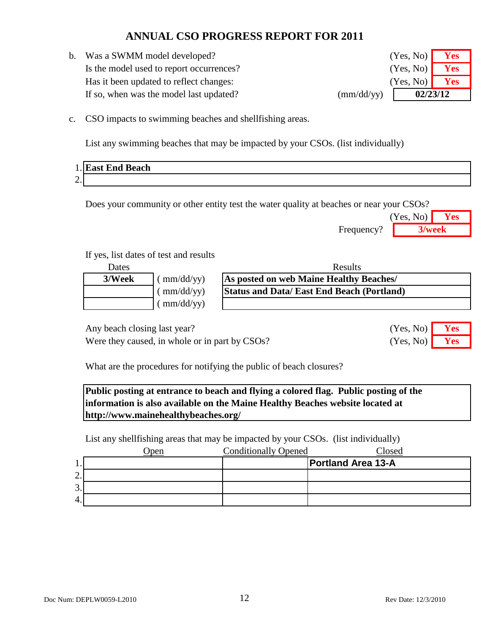b. Was a SWMM model developed? Is the model used to report occurrences? Has it been updated to reflect changes: If so, when was the model last updated? (mm/dd/yy)

| (Yes, No) | <b>Yes</b> |
|-----------|------------|
| (Yes, No) | Yes        |
|           | 02/23/12   |

c. CSO impacts to swimming beaches and shellfishing areas.

List any swimming beaches that may be impacted by your CSOs. (list individually)

| 1.1             | <b>IEast End Beach</b> |
|-----------------|------------------------|
| $\bigcap$<br>∼. |                        |

Does your community or other entity test the water quality at beaches or near your CSOs?

|            | (Yes, No) | <b>Yes</b> |
|------------|-----------|------------|
| Frequency? | 3/week    |            |

(Yes, No)

(Yes, No)

#### If yes, list dates of test and results

| Dates  |                             | <b>Results</b>                                   |  |
|--------|-----------------------------|--------------------------------------------------|--|
| 3/Week | (mm/dd/yy)                  | As posted on web Maine Healthy Beaches/          |  |
|        | $\mu$ mm/dd/yy)             | <b>Status and Data/East End Beach (Portland)</b> |  |
|        | $\frac{\text{m}}{\text{d}}$ |                                                  |  |

Any beach closing last year? **Yes** No. 2013

Were they caused, in whole or in part by CSOs? (Yes, No) **Yes** 

What are the procedures for notifying the public of beach closures?

**Public posting at entrance to beach and flying a colored flag. Public posting of the information is also available on the Maine Healthy Beaches website located at http://www.mainehealthybeaches.org/**

List any shellfishing areas that may be impacted by your CSOs. (list individually)

|          | )pen | <b>Conditionally Opened</b> | Closed                    |
|----------|------|-----------------------------|---------------------------|
| . .      |      |                             | <b>Portland Area 13-A</b> |
| ⌒<br>، ت |      |                             |                           |
| 3.       |      |                             |                           |
| 4.       |      |                             |                           |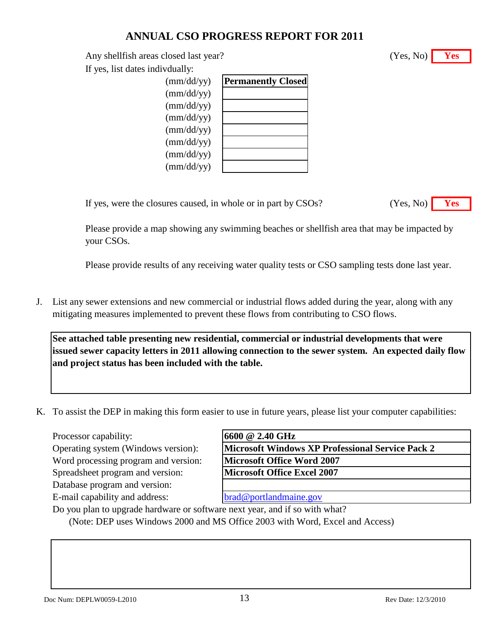Any shellfish areas closed last year? **Yes** (Yes, No) **Yes** 

If yes, list dates indivdually:

| $\text{(mm/dd/yy)}$ | <b>Permanently Closed</b> |
|---------------------|---------------------------|
| $\text{(mm/dd/yy)}$ |                           |
| $\text{(mm/dd/yy)}$ |                           |
| $\text{(mm/dd/yy)}$ |                           |
| $\text{(mm/dd/yy)}$ |                           |
| $\text{(mm/dd/yy)}$ |                           |
| $\text{(mm/dd/yy)}$ |                           |
| $\text{(mm/dd/yy)}$ |                           |
|                     |                           |

If yes, were the closures caused, in whole or in part

| $\text{es}$ No)<br>- |  |
|----------------------|--|
|                      |  |

Please provide a map showing any swimming beaches or shellfish area that may be impacted by your CSOs.

Please provide results of any receiving water quality tests or CSO sampling tests done last year.

J. List any sewer extensions and new commercial or industrial flows added during the year, along with any mitigating measures implemented to prevent these flows from contributing to CSO flows.

**See attached table presenting new residential, commercial or industrial developments that were issued sewer capacity letters in 2011 allowing connection to the sewer system. An expected daily flow and project status has been included with the table.**

K. To assist the DEP in making this form easier to use in future years, please list your computer capabilities:

Processor capability:

Operating system (Windows version): Word processing program and version:

Spreadsheet program and version: Database program and version:

E-mail capability and address:

| <b>Microsoft Windows XP Professional Service Pack 2</b> |  |
|---------------------------------------------------------|--|
| <b>Microsoft Office Word 2007</b>                       |  |
| <b>Microsoft Office Excel 2007</b>                      |  |

[brad@portlandmaine.gov](mailto:brad@portlandmaine.gov)

Do you plan to upgrade hardware or software next year, and if so with what? (Note: DEP uses Windows 2000 and MS Office 2003 with Word, Excel and Access)

| by CSOs? |  |
|----------|--|

(Yes, No)